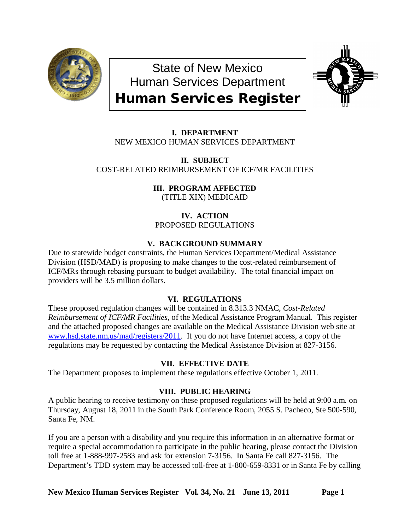

State of New Mexico Human Services Department Human Services Register



**I. DEPARTMENT** NEW MEXICO HUMAN SERVICES DEPARTMENT

**II. SUBJECT** COST-RELATED REIMBURSEMENT OF ICF/MR FACILITIES

> **III. PROGRAM AFFECTED** (TITLE XIX) MEDICAID

**IV. ACTION** PROPOSED REGULATIONS

# **V. BACKGROUND SUMMARY**

Due to statewide budget constraints, the Human Services Department/Medical Assistance Division (HSD/MAD) is proposing to make changes to the cost-related reimbursement of ICF/MRs through rebasing pursuant to budget availability. The total financial impact on providers will be 3.5 million dollars.

## **VI. REGULATIONS**

These proposed regulation changes will be contained in 8.313.3 NMAC, *Cost-Related Reimbursement of ICF/MR Facilities*, of the Medical Assistance Program Manual. This register and the attached proposed changes are available on the Medical Assistance Division web site at [www.hsd.state.nm.us/mad/registers/2011.](http://www.hsd.state.nm.us/mad/registers/2011) If you do not have Internet access, a copy of the regulations may be requested by contacting the Medical Assistance Division at 827-3156.

## **VII. EFFECTIVE DATE**

The Department proposes to implement these regulations effective October 1, 2011.

## **VIII. PUBLIC HEARING**

A public hearing to receive testimony on these proposed regulations will be held at 9:00 a.m. on Thursday, August 18, 2011 in the South Park Conference Room, 2055 S. Pacheco, Ste 500-590, Santa Fe, NM.

If you are a person with a disability and you require this information in an alternative format or require a special accommodation to participate in the public hearing, please contact the Division toll free at 1-888-997-2583 and ask for extension 7-3156. In Santa Fe call 827-3156. The Department's TDD system may be accessed toll-free at 1-800-659-8331 or in Santa Fe by calling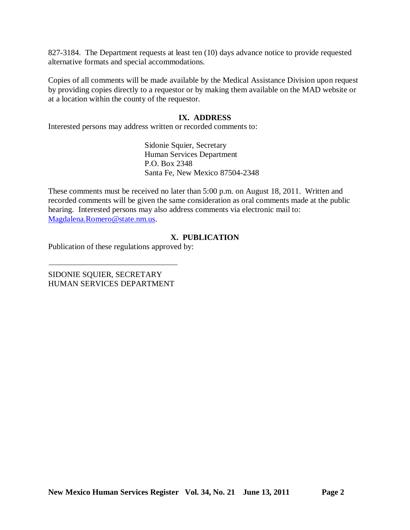827-3184. The Department requests at least ten (10) days advance notice to provide requested alternative formats and special accommodations.

Copies of all comments will be made available by the Medical Assistance Division upon request by providing copies directly to a requestor or by making them available on the MAD website or at a location within the county of the requestor.

### **IX. ADDRESS**

Interested persons may address written or recorded comments to:

Sidonie Squier, Secretary Human Services Department P.O. Box 2348 Santa Fe, New Mexico 87504-2348

These comments must be received no later than 5:00 p.m. on August 18, 2011. Written and recorded comments will be given the same consideration as oral comments made at the public hearing. Interested persons may also address comments via electronic mail to: [Magdalena.Romero@state.nm.us.](mailto:Magdalena.Romero@state.nm.us)

# **X. PUBLICATION**

Publication of these regulations approved by:

SIDONIE SQUIER, SECRETARY HUMAN SERVICES DEPARTMENT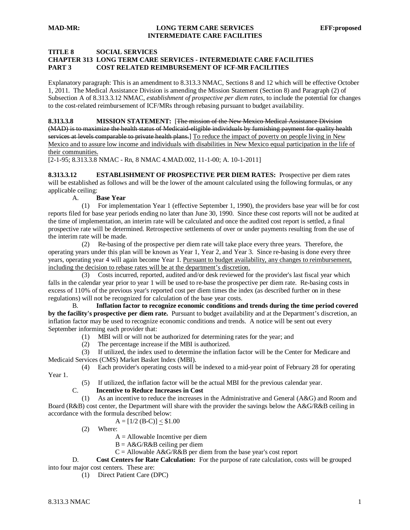#### **TITLE 8 SOCIAL SERVICES**

### **CHAPTER 313 LONG TERM CARE SERVICES - INTERMEDIATE CARE FACILITIES PART 3 COST RELATED REIMBURSEMENT OF ICF-MR FACILITIES**

Explanatory paragraph: This is an amendment to 8.313.3 NMAC, Sections 8 and 12 which will be effective October 1, 2011. The Medical Assistance Division is amending the Mission Statement (Section 8) and Paragraph (2) of Subsection A of 8.313.3.12 NMAC, *establishment of prospective per diem rates*, to include the potential for changes to the cost-related reimbursement of ICF/MRs through rebasing pursuant to budget availability.

**8.313.3.8 MISSION STATEMENT:** [The mission of the New Mexico Medical Assistance Division (MAD) is to maximize the health status of Medicaid-eligible individuals by furnishing payment for quality health services at levels comparable to private health plans.] To reduce the impact of poverty on people living in New Mexico and to assure low income and individuals with disabilities in New Mexico equal participation in the life of their communities.

[2-1-95; 8.313.3.8 NMAC - Rn, 8 NMAC 4.MAD.002, 11-1-00; A. 10-1-2011]

**8.313.3.12 ESTABLISHMENT OF PROSPECTIVE PER DIEM RATES:** Prospective per diem rates will be established as follows and will be the lower of the amount calculated using the following formulas, or any applicable ceiling:

A. **Base Year**

 (1) For implementation Year 1 (effective September 1, 1990), the providers base year will be for cost reports filed for base year periods ending no later than June 30, 1990. Since these cost reports will not be audited at the time of implementation, an interim rate will be calculated and once the audited cost report is settled, a final prospective rate will be determined. Retrospective settlements of over or under payments resulting from the use of the interim rate will be made.

 (2) Re-basing of the prospective per diem rate will take place every three years. Therefore, the operating years under this plan will be known as Year 1, Year 2, and Year 3. Since re-basing is done every three years, operating year 4 will again become Year 1. Pursuant to budget availability, any changes to reimbursement, including the decision to rebase rates will be at the department's discretion.

 (3) Costs incurred, reported, audited and/or desk reviewed for the provider's last fiscal year which falls in the calendar year prior to year 1 will be used to re-base the prospective per diem rate. Re-basing costs in excess of 110% of the previous year's reported cost per diem times the index (as described further on in these regulations) will not be recognized for calculation of the base year costs.

B. **Inflation factor to recognize economic conditions and trends during the time period covered by the facility's prospective per diem rate.** Pursuant to budget availability and at the Department's discretion, an inflation factor may be used to recognize economic conditions and trends. A notice will be sent out every September informing each provider that:

- (1) MBI will or will not be authorized for determining rates for the year; and
- (2) The percentage increase if the MBI is authorized.

 (3) If utilized, the index used to determine the inflation factor will be the Center for Medicare and Medicaid Services (CMS) Market Basket Index (MBI).

(4) Each provider's operating costs will be indexed to a mid-year point of February 28 for operating

Year 1.

(5) If utilized, the inflation factor will be the actual MBI for the previous calendar year.<br>C. **Incentive to Reduce Increases in Cost** 

### C. **Incentive to Reduce Increases in Cost**

 (1) As an incentive to reduce the increases in the Administrative and General (A&G) and Room and Board (R&B) cost center, the Department will share with the provider the savings below the A&G/R&B ceiling in accordance with the formula described below:

 $A = [1/2 (B-C)] < $1.00$ 

- (2) Where:
	- $A =$  Allowable Incentive per diem
	- $B = A \& G/R \& B$  ceiling per diem

 $C =$  Allowable A&G/R&B per diem from the base year's cost report<br>D. **Cost Centers for Rate Calculation:** For the purpose of rate calculation, co

**Cost Centers for Rate Calculation:** For the purpose of rate calculation, costs will be grouped into four major cost centers. These are:

(1) Direct Patient Care (DPC)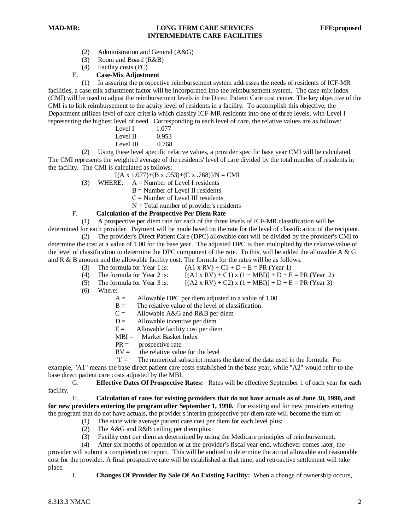### **MAD-MR: LONG TERM CARE SERVICES EFF:proposed INTERMEDIATE CARE FACILITIES**

- (2) Administration and General (A&G)
- (3) Room and Board (R&B)
- (4) Facility costs (FC)
- E. **Case-Mix Adjustment**

 (1) In assuring the prospective reimbursement system addresses the needs of residents of ICF-MR facilities, a case mix adjustment factor will be incorporated into the reimbursement system. The case-mix index (CMI) will be used to adjust the reimbursement levels in the Direct Patient Care cost center. The key objective of the CMI is to link reimbursement to the acuity level of residents in a facility. To accomplish this objective, the Department utilizes level of care criteria which classify ICF-MR residents into one of three levels, with Level I representing the highest level of need. Corresponding to each level of care, the relative values are as follows:

|  |  | Level I  | 1.077 |
|--|--|----------|-------|
|  |  | Level II | 0.953 |

Level III  $0.768$ 

 (2) Using these level specific relative values, a provider specific base year CMI will be calculated. The CMI represents the weighted average of the residents' level of care divided by the total number of residents in the facility. The CMI is calculated as follows:

- $[(A \times 1.077)+(B \times .953)+(C \times .768)]/N = CMI$
- (3) WHERE:  $A =$  Number of Level I residents
	- $B =$  Number of Level II residents
	- $C =$  Number of Level III residents
	- $N = Total number of provider's residents$

### F. **Calculation of the Prospective Per Diem Rate**

(1) A prospective per diem rate for each of the three levels of ICF-MR classification will be

determined for each provider. Payment will be made based on the rate for the level of classification of the recipient. (2) The provider's Direct Patient Care (DPC) allowable cost will be divided by the provider's CMI to determine the cost at a value of 1.00 for the base year. The adjusted DPC is then multiplied by the relative value of the level of classification to determine the DPC component of the rate. To this, will be added the allowable A & G and R & B amount and the allowable facility cost. The formula for the rates will be as follows:

- (3) The formula for Year 1 is:  $(A1 \times RV) + C1 + D + E = PR (Year 1)$ <br>(4) The formula for Year 2 is:  $[(A1 \times RV) + C1 \times (1 + MBI) + D + E]$
- $[(A1 \times RV) + C1) \times (1 + MBI)] + D + E = PR (Year 2)$
- (5) The formula for Year 3 is:  $[(A2 \times RV) + C2) \times (1 + MBI)] + D + E = PR$  (Year 3)
- (6) Where:
	- $A =$  Allowable DPC per diem adjusted to a value of 1.00
	- $B =$  The relative value of the level of classification.
	- $C =$  Allowable A&G and R&B per diem
	- $D =$  Allowable incentive per diem
	- $E =$  Allowable facility cost per diem
	- MBI = Market Basket Index
	- $PR =$  prospective rate
	- $RV =$  the relative value for the level<br>" $1" =$  The numerical subscript means

The numerical subscript means the date of the data used in the formula. For

example, "A1" means the base direct patient care costs established in the base year, while "A2" would refer to the base direct patient care costs adjusted by the MBI.

G. **Effective Dates Of Prospective Rates:** Rates will be effective September 1 of each year for each facility.

H. **Calculation of rates for existing providers that do not have actuals as of June 30, 1990, and for new providers entering the program after September 1, 1990.** For existing and for new providers entering the program that do not have actuals, the provider's interim prospective per diem rate will become the sum of:

- (1) The state wide average patient care cost per diem for each level plus;
- (2) The A&G and R&B ceiling per diem plus;
- (3) Facility cost per diem as determined by using the Medicare principles of reimbursement.
- (4) After six months of operation or at the provider's fiscal year end, whichever comes later, the

provider will submit a completed cost report. This will be audited to determine the actual allowable and reasonable cost for the provider. A final prospective rate will be established at that time, and retroactive settlement will take place.

I. **Changes Of Provider By Sale Of An Existing Facility:** When a change of ownership occurs,